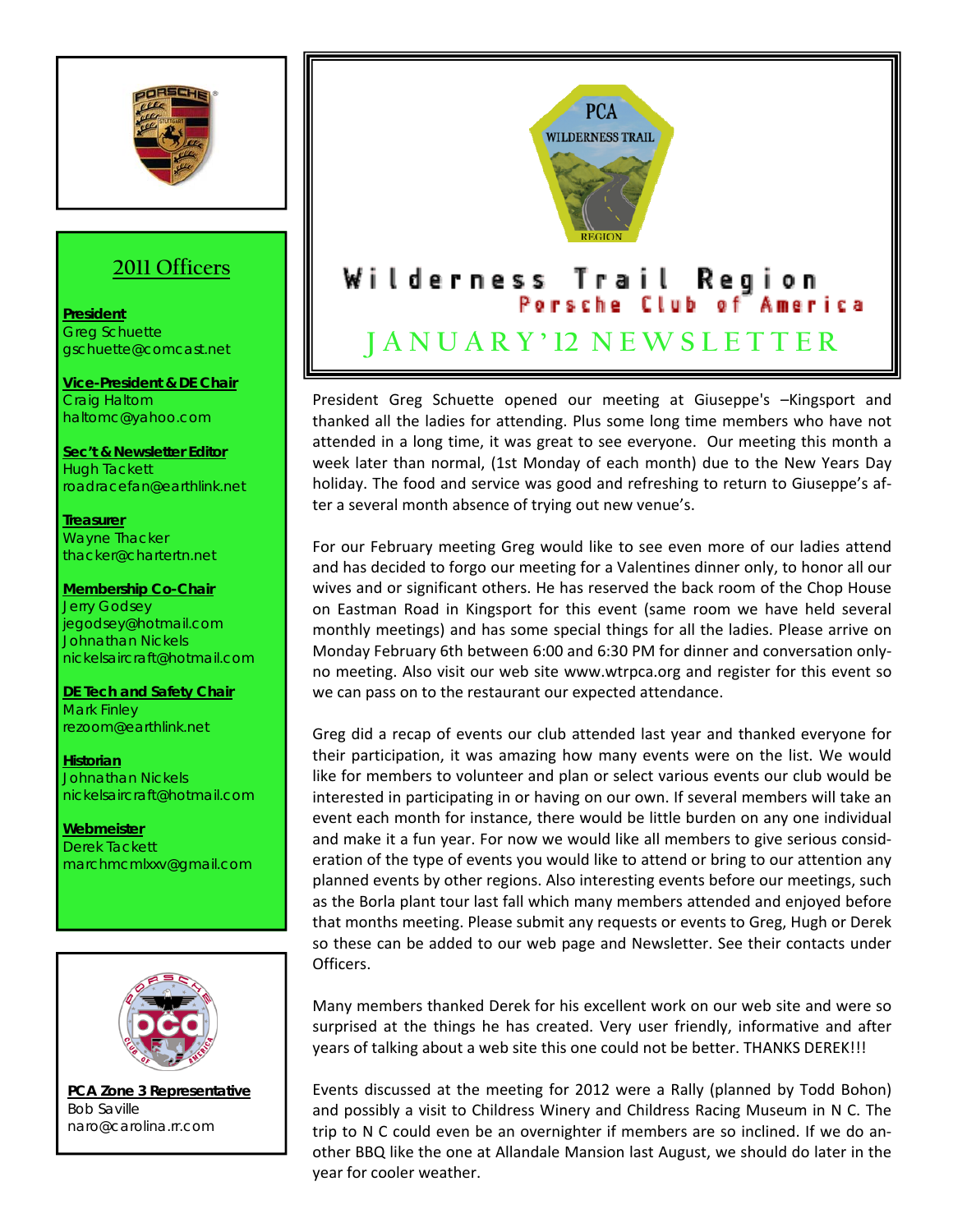

## **2011 Officers**

**President** Greg Schuette gschuette@comcast.net

**Vice-President & DE Chair** Craig Haltom haltomc@yahoo.com

**Sec't & Newsletter Editor** Hugh Tackett roadracefan@earthlink.net

**Treasurer** Wayne Thacker thacker@chartertn.net

**Membership Co-Chair** Jerry Godsey jegodsey@hotmail.com Johnathan Nickels nickelsaircraft@hotmail.com

**DE Tech and Safety Chair** Mark Finley rezoom@earthlink.net

**Historian** Johnathan Nickels nickelsaircraft@hotmail.com

**Webmeister** Derek Tackett marchmcmlxxv@gmail.com



**PCA Zone 3 Representative** Bob Saville naro@carolina.rr.com



President Greg Schuette opened our meeting at Giuseppe's –Kingsport and thanked all the ladies for attending. Plus some long time members who have not attended in a long time, it was great to see everyone. Our meeting this month a week later than normal, (1st Monday of each month) due to the New Years Day holiday. The food and service was good and refreshing to return to Giuseppe's af‐ ter a several month absence of trying out new venue's.

For our February meeting Greg would like to see even more of our ladies attend and has decided to forgo our meeting for a Valentines dinner only, to honor all our wives and or significant others. He has reserved the back room of the Chop House on Eastman Road in Kingsport for this event (same room we have held several monthly meetings) and has some special things for all the ladies. Please arrive on Monday February 6th between 6:00 and 6:30 PM for dinner and conversation only‐ no meeting. Also visit our web site www.wtrpca.org and register for this event so we can pass on to the restaurant our expected attendance.

Greg did a recap of events our club attended last year and thanked everyone for their participation, it was amazing how many events were on the list. We would like for members to volunteer and plan or select various events our club would be interested in participating in or having on our own. If several members will take an event each month for instance, there would be little burden on any one individual and make it a fun year. For now we would like all members to give serious consid‐ eration of the type of events you would like to attend or bring to our attention any planned events by other regions. Also interesting events before our meetings, such as the Borla plant tour last fall which many members attended and enjoyed before that months meeting. Please submit any requests or events to Greg, Hugh or Derek so these can be added to our web page and Newsletter. See their contacts under Officers.

Many members thanked Derek for his excellent work on our web site and were so surprised at the things he has created. Very user friendly, informative and after years of talking about a web site this one could not be better. THANKS DEREK!!!

Events discussed at the meeting for 2012 were a Rally (planned by Todd Bohon) and possibly a visit to Childress Winery and Childress Racing Museum in N C. The trip to N C could even be an overnighter if members are so inclined. If we do an‐ other BBQ like the one at Allandale Mansion last August, we should do later in the year for cooler weather.